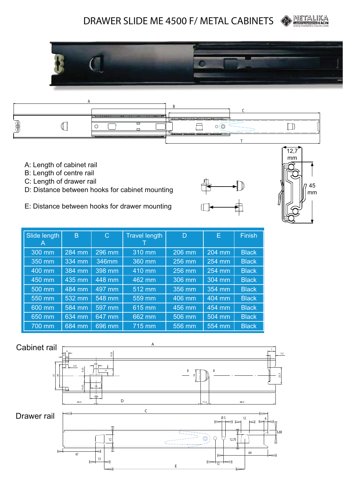### **OD** META DRAWER SLIDE ME 4500 F/ METAL CABINETS





- A: Length of cabinet rail
- B: Length of centre rail
- C: Length of drawer rail
- D: Distance between hooks for cabinet mounting
- E: Distance between hooks for drawer mounting





| Slide length<br>A | B        | $\mathsf{C}$ | <b>Travel length</b> | D      | E        | <b>Finish</b> |
|-------------------|----------|--------------|----------------------|--------|----------|---------------|
| 300 mm            | 284 mm   | 296 mm       | 310 mm               | 206 mm | 204 mm   | <b>Black</b>  |
| 350 mm            | 334 mm   | 346mm        | 360 mm               | 256 mm | 254 mm   | <b>Black</b>  |
| 400 mm            | 384 mm   | 398 mm       | 410 mm               | 256 mm | $254$ mm | <b>Black</b>  |
| 450 mm            | $435$ mm | 448 mm       | 462 mm               | 306 mm | 304 mm   | <b>Black</b>  |
| 500 mm            | 484 mm   | $497$ mm     | 512 mm               | 356 mm | 354 mm   | <b>Black</b>  |
| 550 mm            | 532 mm   | $548$ mm     | 559 mm               | 406 mm | 404 mm   | <b>Black</b>  |
| 600 mm            | 584 mm   | 597 mm       | $615 \,\mathrm{mm}$  | 456 mm | 454 mm   | <b>Black</b>  |
| 650 mm            | 634 mm   | $647$ mm     | 662 mm               | 506 mm | 504 mm   | <b>Black</b>  |
| 700 mm            | 684 mm   | 696 mm       | 715 mm               | 556 mm | 554 mm   | <b>Black</b>  |

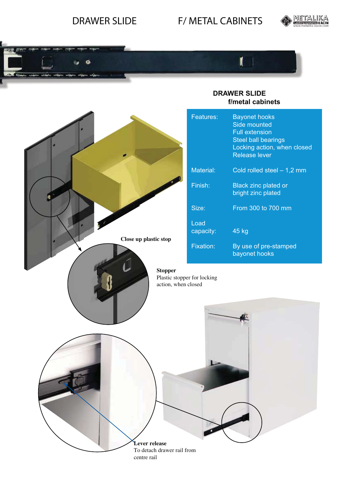## DRAWER SLIDE F/ METAL CABINETS





### **DRAWER SLIDE f/metal cabinets**

I

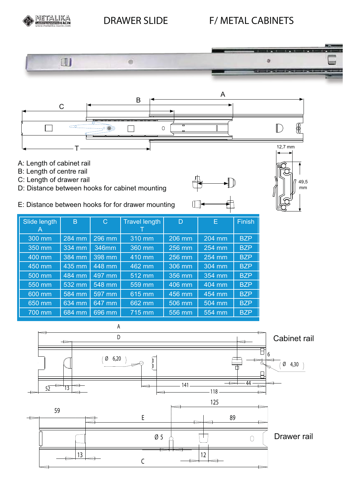# METALIKA DRAWER SLIDE F/ METAL CABINETS